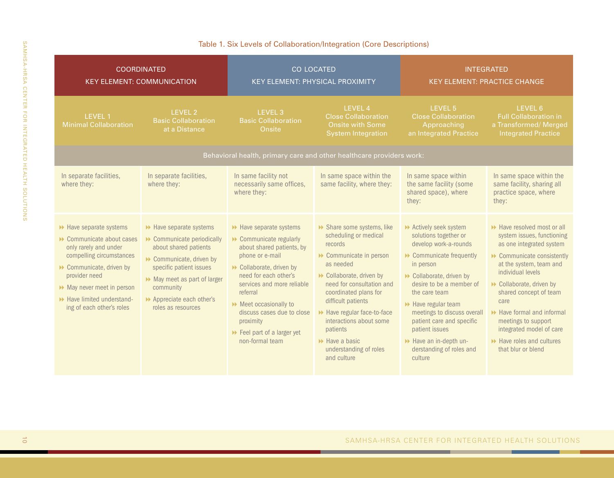| <b>COORDINATED</b><br><b>KEY ELEMENT: COMMUNICATION</b>                                                                                                                                                                                 |                                                                                                                                                                                                                                           | <b>CO LOCATED</b><br>KEY ELEMENT: PHYSICAL PROXIMITY                                                                                                                                                                                                                                                               |                                                                                                                                                                                                                                                                                                                                                     | <b>INTEGRATED</b><br><b>KEY ELEMENT: PRACTICE CHANGE</b>                                                                                                                                                                                                                                                                                               |                                                                                                                                                                                                                                                                                                                                                               |
|-----------------------------------------------------------------------------------------------------------------------------------------------------------------------------------------------------------------------------------------|-------------------------------------------------------------------------------------------------------------------------------------------------------------------------------------------------------------------------------------------|--------------------------------------------------------------------------------------------------------------------------------------------------------------------------------------------------------------------------------------------------------------------------------------------------------------------|-----------------------------------------------------------------------------------------------------------------------------------------------------------------------------------------------------------------------------------------------------------------------------------------------------------------------------------------------------|--------------------------------------------------------------------------------------------------------------------------------------------------------------------------------------------------------------------------------------------------------------------------------------------------------------------------------------------------------|---------------------------------------------------------------------------------------------------------------------------------------------------------------------------------------------------------------------------------------------------------------------------------------------------------------------------------------------------------------|
| LEVEL 1<br><b>Minimal Collaboration</b>                                                                                                                                                                                                 | LEVEL 2<br><b>Basic Collaboration</b><br>at a Distance                                                                                                                                                                                    | LEVEL <sub>3</sub><br><b>Basic Collaboration</b><br>Onsite<br>Behavioral health, primary care and other healthcare providers work:                                                                                                                                                                                 | LEVEL 4<br><b>Close Collaboration</b><br><b>Onsite with Some</b><br><b>System Integration</b>                                                                                                                                                                                                                                                       | <b>LEVEL 5</b><br><b>Close Collaboration</b><br>Approaching<br>an Integrated Practice                                                                                                                                                                                                                                                                  | LEVEL 6<br><b>Full Collaboration in</b><br>a Transformed/ Merged<br><b>Integrated Practice</b>                                                                                                                                                                                                                                                                |
| In separate facilities,<br>where they:                                                                                                                                                                                                  | In separate facilities,<br>where they:                                                                                                                                                                                                    | In same facility not<br>necessarily same offices,<br>where they:                                                                                                                                                                                                                                                   | In same space within the<br>same facility, where they:                                                                                                                                                                                                                                                                                              | In same space within<br>the same facility (some<br>shared space), where<br>they:                                                                                                                                                                                                                                                                       | In same space within the<br>same facility, sharing all<br>practice space, where<br>they:                                                                                                                                                                                                                                                                      |
| Have separate systems<br>▶ Communicate about cases<br>only rarely and under<br>compelling circumstances<br>Communicate, driven by<br>provider need<br>May never meet in person<br>Have limited understand-<br>ing of each other's roles | $\rightarrow$ Have separate systems<br>Communicate periodically<br>about shared patients<br>Communicate, driven by<br>specific patient issues<br>May meet as part of larger<br>community<br>Appreciate each other's<br>roles as resources | Have separate systems<br>▶ Communicate regularly<br>about shared patients, by<br>phone or e-mail<br>Collaborate, driven by<br>need for each other's<br>services and more reliable<br>referral<br>Meet occasionally to<br>discuss cases due to close<br>proximity<br>▶ Feel part of a larger yet<br>non-formal team | Share some systems, like<br>scheduling or medical<br>records<br>Communicate in person<br>as needed<br>Collaborate, driven by<br>need for consultation and<br>coordinated plans for<br>difficult patients<br>Have regular face-to-face<br>interactions about some<br>patients<br>$\rightarrow$ Have a basic<br>understanding of roles<br>and culture | Actively seek system<br>solutions together or<br>develop work-a-rounds<br>Communicate frequently<br>in person<br>Collaborate, driven by<br>desire to be a member of<br>the care team<br>Have regular team<br>meetings to discuss overall<br>patient care and specific<br>patient issues<br>Have an in-depth un-<br>derstanding of roles and<br>culture | Have resolved most or all<br>system issues, functioning<br>as one integrated system<br>Communicate consistently<br>at the system, team and<br>individual levels<br>Collaborate, driven by<br>shared concept of team<br>care<br>▶ Have formal and informal<br>meetings to support<br>integrated model of care<br>Have roles and cultures<br>that blur or blend |

## Table 1. Six Levels of Collaboration/Integration (Core Descriptions)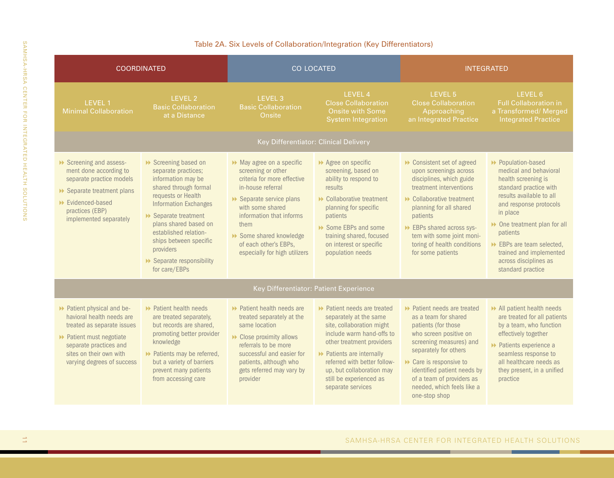| <b>COORDINATED</b>                                                                                                                                                                                     |                                                                                                                                                                                                                                                                                                                           | <b>CO LOCATED</b>                                                                                                                                                                                                                                                      |                                                                                                                                                                                                                                                                                         | <b>INTEGRATED</b>                                                                                                                                                                                                                                                                                          |                                                                                                                                                                                                                                                                                                                 |
|--------------------------------------------------------------------------------------------------------------------------------------------------------------------------------------------------------|---------------------------------------------------------------------------------------------------------------------------------------------------------------------------------------------------------------------------------------------------------------------------------------------------------------------------|------------------------------------------------------------------------------------------------------------------------------------------------------------------------------------------------------------------------------------------------------------------------|-----------------------------------------------------------------------------------------------------------------------------------------------------------------------------------------------------------------------------------------------------------------------------------------|------------------------------------------------------------------------------------------------------------------------------------------------------------------------------------------------------------------------------------------------------------------------------------------------------------|-----------------------------------------------------------------------------------------------------------------------------------------------------------------------------------------------------------------------------------------------------------------------------------------------------------------|
| LEVEL 1<br><b>Minimal Collaboration</b>                                                                                                                                                                | LEVEL 2<br><b>Basic Collaboration</b><br>at a Distance                                                                                                                                                                                                                                                                    | <b>LEVEL 3</b><br><b>Basic Collaboration</b><br>Onsite                                                                                                                                                                                                                 | LEVEL 4<br><b>Close Collaboration</b><br><b>Onsite with Some</b><br><b>System Integration</b>                                                                                                                                                                                           | LEVEL 5<br><b>Close Collaboration</b><br>Approaching<br>an Integrated Practice                                                                                                                                                                                                                             | LEVEL 6<br><b>Full Collaboration in</b><br>a Transformed/ Merged<br><b>Integrated Practice</b>                                                                                                                                                                                                                  |
| Key Differentiator: Clinical Delivery                                                                                                                                                                  |                                                                                                                                                                                                                                                                                                                           |                                                                                                                                                                                                                                                                        |                                                                                                                                                                                                                                                                                         |                                                                                                                                                                                                                                                                                                            |                                                                                                                                                                                                                                                                                                                 |
| Screening and assess-<br>ment done according to<br>separate practice models<br>▶ Separate treatment plans<br>Evidenced-based<br>practices (EBP)<br>implemented separately                              | Screening based on<br>separate practices;<br>information may be<br>shared through formal<br>requests or Health<br><b>Information Exchanges</b><br>$\rightarrow$ Separate treatment<br>plans shared based on<br>established relation-<br>ships between specific<br>providers<br>▶ Separate responsibility<br>for care/EBPs | May agree on a specific<br>screening or other<br>criteria for more effective<br>in-house referral<br>Separate service plans<br>with some shared<br>information that informs<br>them<br>Some shared knowledge<br>of each other's EBPs,<br>especially for high utilizers | Agree on specific<br>screening, based on<br>ability to respond to<br>results<br>▶ Collaborative treatment<br>planning for specific<br>patients<br>Some EBPs and some<br>training shared, focused<br>on interest or specific<br>population needs                                         | Consistent set of agreed<br>upon screenings across<br>disciplines, which guide<br>treatment interventions<br>▶ Collaborative treatment<br>planning for all shared<br>patients<br>EBPs shared across sys-<br>tem with some joint moni-<br>toring of health conditions<br>for some patients                  | ▶ Population-based<br>medical and behavioral<br>health screening is<br>standard practice with<br>results available to all<br>and response protocols<br>in place<br>▶ One treatment plan for all<br>patients<br>EBPs are team selected,<br>trained and implemented<br>across disciplines as<br>standard practice |
| Key Differentiator: Patient Experience                                                                                                                                                                 |                                                                                                                                                                                                                                                                                                                           |                                                                                                                                                                                                                                                                        |                                                                                                                                                                                                                                                                                         |                                                                                                                                                                                                                                                                                                            |                                                                                                                                                                                                                                                                                                                 |
| Department physical and be-<br>havioral health needs are<br>treated as separate issues<br>>> Patient must negotiate<br>separate practices and<br>sites on their own with<br>varying degrees of success | $\rightarrow$ Patient health needs<br>are treated separately,<br>but records are shared,<br>promoting better provider<br>knowledge<br>De Patients may be referred,<br>but a variety of barriers<br>prevent many patients<br>from accessing care                                                                           | ▶ Patient health needs are<br>treated separately at the<br>same location<br>Close proximity allows<br>referrals to be more<br>successful and easier for<br>patients, although who<br>gets referred may vary by<br>provider                                             | ▶ Patient needs are treated<br>separately at the same<br>site, collaboration might<br>include warm hand-offs to<br>other treatment providers<br>De Patients are internally<br>referred with better follow-<br>up, but collaboration may<br>still be experienced as<br>separate services | ▶ Patient needs are treated<br>as a team for shared<br>patients (for those<br>who screen positive on<br>screening measures) and<br>separately for others<br>$\rightarrow$ Care is responsive to<br>identified patient needs by<br>of a team of providers as<br>needed, which feels like a<br>one-stop shop | All patient health needs<br>are treated for all patients<br>by a team, who function<br>effectively together<br>De Patients experience a<br>seamless response to<br>all healthcare needs as<br>they present, in a unified<br>practice                                                                            |

## Table 2A. Six Levels of Collaboration/Integration (Key Differentiators)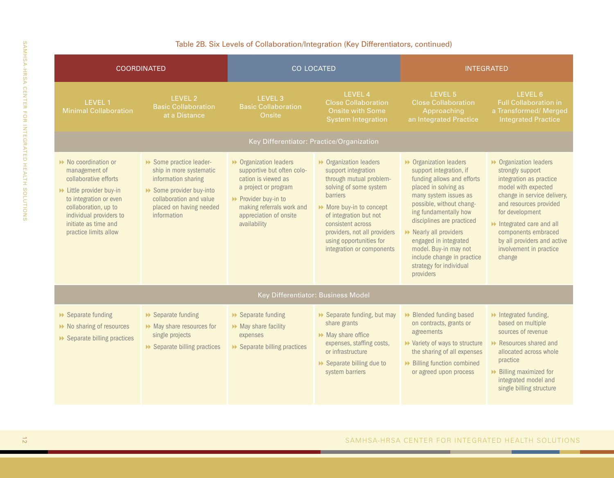| <b>COORDINATED</b>                                                                                                                                                                                                                    |                                                                                                                                                                        | <b>CO LOCATED</b>                                                                                                                                                                                  |                                                                                                                                                                                                                                                                                        | <b>INTEGRATED</b>                                                                                                                                                                                                                                                                                                                                                  |                                                                                                                                                                                                                                                                                                              |
|---------------------------------------------------------------------------------------------------------------------------------------------------------------------------------------------------------------------------------------|------------------------------------------------------------------------------------------------------------------------------------------------------------------------|----------------------------------------------------------------------------------------------------------------------------------------------------------------------------------------------------|----------------------------------------------------------------------------------------------------------------------------------------------------------------------------------------------------------------------------------------------------------------------------------------|--------------------------------------------------------------------------------------------------------------------------------------------------------------------------------------------------------------------------------------------------------------------------------------------------------------------------------------------------------------------|--------------------------------------------------------------------------------------------------------------------------------------------------------------------------------------------------------------------------------------------------------------------------------------------------------------|
| <b>LEVEL 1</b><br><b>Minimal Collaboration</b>                                                                                                                                                                                        | <b>LEVEL 2</b><br><b>Basic Collaboration</b><br>at a Distance                                                                                                          | <b>LEVEL 3</b><br><b>Basic Collaboration</b><br>Onsite                                                                                                                                             | <b>LEVEL 4</b><br><b>Close Collaboration</b><br><b>Onsite with Some</b><br><b>System Integration</b>                                                                                                                                                                                   | LEVEL 5<br><b>Close Collaboration</b><br>Approaching<br>an Integrated Practice                                                                                                                                                                                                                                                                                     | LEVEL 6<br><b>Full Collaboration in</b><br>a Transformed/ Merged<br><b>Integrated Practice</b>                                                                                                                                                                                                               |
| Key Differentiator: Practice/Organization                                                                                                                                                                                             |                                                                                                                                                                        |                                                                                                                                                                                                    |                                                                                                                                                                                                                                                                                        |                                                                                                                                                                                                                                                                                                                                                                    |                                                                                                                                                                                                                                                                                                              |
| $\rightarrow$ No coordination or<br>management of<br>collaborative efforts<br>De Little provider buy-in<br>to integration or even<br>collaboration, up to<br>individual providers to<br>initiate as time and<br>practice limits allow | Some practice leader-<br>ship in more systematic<br>information sharing<br>Some provider buy-into<br>collaboration and value<br>placed on having needed<br>information | ▶ Organization leaders<br>supportive but often colo-<br>cation is viewed as<br>a project or program<br>▶ Provider buy-in to<br>making referrals work and<br>appreciation of onsite<br>availability | ▶ Organization leaders<br>support integration<br>through mutual problem-<br>solving of some system<br><b>barriers</b><br>More buy-in to concept<br>of integration but not<br>consistent across<br>providers, not all providers<br>using opportunities for<br>integration or components | ▶ Organization leaders<br>support integration, if<br>funding allows and efforts<br>placed in solving as<br>many system issues as<br>possible, without chang-<br>ing fundamentally how<br>disciplines are practiced<br>Nearly all providers<br>engaged in integrated<br>model. Buy-in may not<br>include change in practice<br>strategy for individual<br>providers | ▶ Organization leaders<br>strongly support<br>integration as practice<br>model with expected<br>change in service delivery,<br>and resources provided<br>for development<br>$\rightarrow$ Integrated care and all<br>components embraced<br>by all providers and active<br>involvement in practice<br>change |
| Key Differentiator: Business Model                                                                                                                                                                                                    |                                                                                                                                                                        |                                                                                                                                                                                                    |                                                                                                                                                                                                                                                                                        |                                                                                                                                                                                                                                                                                                                                                                    |                                                                                                                                                                                                                                                                                                              |
| $\rightarrow$ Separate funding<br>No sharing of resources<br>▶ Separate billing practices                                                                                                                                             | $\rightarrow$ Separate funding<br>May share resources for<br>single projects<br>▶ Separate billing practices                                                           | $\rightarrow$ Separate funding<br>May share facility<br>expenses<br>▶ Separate billing practices                                                                                                   | ▶ Separate funding, but may<br>share grants<br>May share office<br>expenses, staffing costs,<br>or infrastructure<br>Separate billing due to<br>system barriers                                                                                                                        | Blended funding based<br>on contracts, grants or<br>agreements<br>▶ Variety of ways to structure<br>the sharing of all expenses<br>Billing function combined<br>or agreed upon process                                                                                                                                                                             | Integrated funding,<br>based on multiple<br>sources of revenue<br>Resources shared and<br>allocated across whole<br>practice<br>Billing maximized for<br>integrated model and<br>single billing structure                                                                                                    |

## Table 2B. Six Levels of Collaboration/Integration (Key Differentiators, continued)